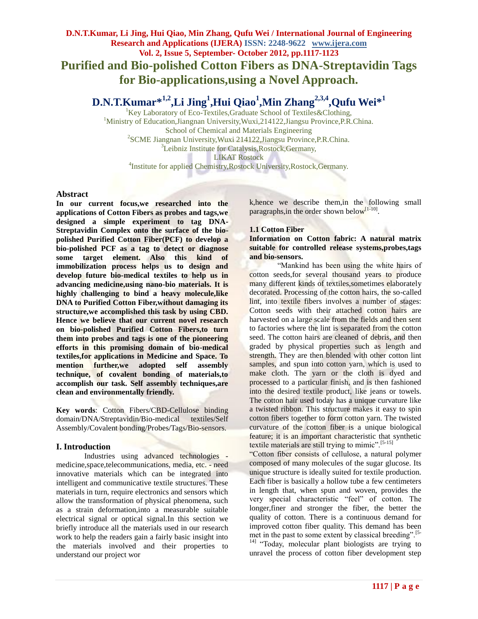# **D.N.T.Kumar, Li Jing, Hui Qiao, Min Zhang, Qufu Wei / International Journal of Engineering Research and Applications (IJERA) ISSN: 2248-9622 www.ijera.com Vol. 2, Issue 5, September- October 2012, pp.1117-1123 Purified and Bio-polished Cotton Fibers as DNA-Streptavidin Tags for Bio-applications,using a Novel Approach.**

# **D.N.T.Kumar\*1,2,Li Jing<sup>1</sup> ,Hui Qiao<sup>1</sup> ,Min Zhang2,3,4,Qufu Wei\*<sup>1</sup>**

 ${}^{1}$ Key Laboratory of Eco-Textiles, Graduate School of Textiles & Clothing, <sup>1</sup>Ministry of Education,Jiangnan University,Wuxi,214122,Jiangsu Province,P.R.China. School of Chemical and Materials Engineering 2 SCME Jiangnan University,Wuxi 214122,Jiangsu Province,P.R.China. <sup>3</sup>Leibniz Institute for Catalysis, Rostock, Germany, LIKAT Rostock <sup>4</sup>Institute for applied Chemistry, Rostock University, Rostock, Germany.

## **Abstract**

**In our current focus,we researched into the applications of Cotton Fibers as probes and tags,we designed a simple experiment to tag DNA-Streptavidin Complex onto the surface of the biopolished Purified Cotton Fiber(PCF) to develop a bio-polished PCF as a tag to detect or diagnose some target element. Also this kind of immobilization process helps us to design and develop future bio-medical textiles to help us in advancing medicine,using nano-bio materials. It is highly challenging to bind a heavy molecule,like DNA to Purified Cotton Fiber,without damaging its structure,we accomplished this task by using CBD. Hence we believe that our current novel research on bio-polished Purified Cotton Fibers,to turn them into probes and tags is one of the pioneering efforts in this promising domain of bio-medical textiles,for applications in Medicine and Space. To mention further,we adopted self assembly technique, of covalent bonding of materials,to accomplish our task. Self assembly techniques,are clean and environmentally friendly.**

**Key words**: Cotton Fibers/CBD-Cellulose binding domain/DNA/Streptavidin/Bio-medical textiles/Self Assembly/Covalent bonding/Probes/Tags/Bio-sensors.

## **I. Introduction**

Industries using advanced technologies medicine,space,telecommunications, media, etc. - need innovative materials which can be integrated into intelligent and communicative textile structures. These materials in turn, require electronics and sensors which allow the transformation of physical phenomena, such as a strain deformation,into a measurable suitable electrical signal or optical signal.In this section we briefly introduce all the materials used in our research work to help the readers gain a fairly basic insight into the materials involved and their properties to understand our project wor

k,hence we describe them,in the following small paragraphs, in the order shown below<sup>[1-10]</sup>.

## **1.1 Cotton Fiber**

**Information on Cotton fabric: A natural matrix suitable for controlled release systems,probes,tags and bio-sensors.**

"Mankind has been using the white hairs of cotton seeds,for several thousand years to produce many different kinds of textiles,sometimes elaborately decorated. Processing of the cotton hairs, the so-called lint, into textile fibers involves a number of stages: Cotton seeds with their attached cotton hairs are harvested on a large scale from the fields and then sent to factories where the lint is separated from the cotton seed. The cotton hairs are cleaned of debris, and then graded by physical properties such as length and strength. They are then blended with other cotton lint samples, and spun into cotton yarn, which is used to make cloth. The yarn or the cloth is dyed and processed to a particular finish, and is then fashioned into the desired textile product, like jeans or towels. The cotton hair used today has a unique curvature like a twisted ribbon. This structure makes it easy to spin cotton fibers together to form cotton yarn. The twisted curvature of the cotton fiber is a unique biological feature; it is an important characteristic that synthetic textile materials are still trying to mimic".[5-15]

"Cotton fiber consists of cellulose, a natural polymer composed of many molecules of the sugar glucose. Its unique structure is ideally suited for textile production. Each fiber is basically a hollow tube a few centimeters in length that, when spun and woven, provides the very special characteristic "feel" of cotton. The longer,finer and stronger the fiber, the better the quality of cotton. There is a continuous demand for improved cotton fiber quality. This demand has been met in the past to some extent by classical breeding".<sup>[5-1]</sup>

<sup>14]</sup> "Today, molecular plant biologists are trying to unravel the process of cotton fiber development step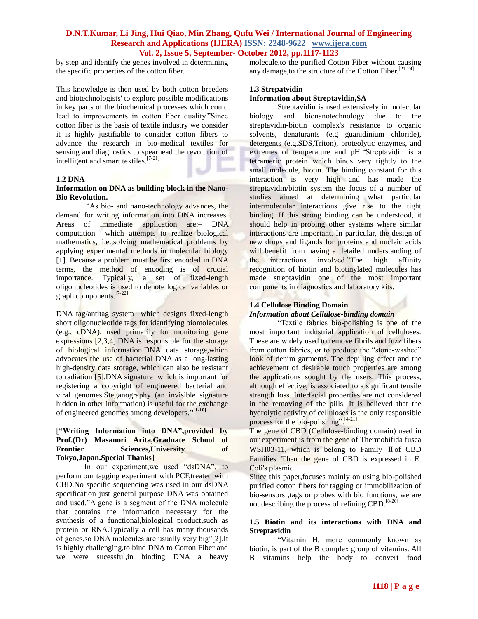by step and identify the genes involved in determining the specific properties of the cotton fiber.

This knowledge is then used by both cotton breeders and biotechnologists' to explore possible modifications in key parts of the biochemical processes which could lead to improvements in cotton fiber quality."Since cotton fiber is the basis of textile industry we consider it is highly justifiable to consider cotton fibers to advance the research in bio-medical textiles for sensing and diagnostics to spearhead the revolution of intelligent and smart textiles.[7-21]

#### **1.2 DNA**

#### **Information on DNA as building block in the Nano-Bio Revolution.**

"As bio- and nano-technology advances, the demand for writing information into DNA increases. Areas of immediate application are:– DNA computation which attempts to realize biological mathematics, i.e.,solving mathematical problems by applying experimental methods in molecular biology [1]. Because a problem must be first encoded in DNA terms, the method of encoding is of crucial importance. Typically, a set of fixed-length oligonucleotides is used to denote logical variables or graph components.[7-22]

DNA tag/antitag system which designs fixed-length short oligonucleotide tags for identifying biomolecules (e.g., cDNA), used primarily for monitoring gene expressions [2,3,4].DNA is responsible for the storage of biological information.DNA data storage,which advocates the use of bacterial DNA as a long-lasting high-density data storage, which can also be resistant to radiation [5].DNA signature which is important for registering a copyright of engineered bacterial and viral genomes.Steganography (an invisible signature hidden in other information) is useful for the exchange of engineered genomes among developers.**" [1-10]**

#### [**"Writing Information into DNA",provided by Prof.(Dr) Masanori Arita,Graduate School of Frontier Sciences,University of Tokyo,Japan.Special Thanks**]

In our experiment,we used "dsDNA", to perform our tagging experiment with PCF,treated with CBD.No specific sequencing was used in our dsDNA specification just general purpose DNA was obtained and used."A gene is a segment of the DNA molecule that contains the information necessary for the synthesis of a functional,biological product**,**such as protein or RNA.Typically a cell has many thousands of genes,so DNA molecules are usually very big"[2].It is highly challenging,to bind DNA to Cotton Fiber and we were sucessful,in binding DNA a heavy molecule,to the purified Cotton Fiber without causing any damage, to the structure of the Cotton Fiber.<sup>[21-24]</sup>

## **1.3 Strepatvidin**

#### **Information about Streptavidin,SA**

Streptavidin is used extensively in molecular biology and bionanotechnology due to the streptavidin-biotin complex's resistance to organic solvents, denaturants (e.g guanidinium chloride), detergents (e.g.SDS,Triton), proteolytic enzymes, and extremes of temperature and pH."Streptavidin is a tetrameric protein which binds very tightly to the small molecule, biotin. The binding constant for this interaction is very high and has made the streptavidin/biotin system the focus of a number of studies aimed at determining what particular intermolecular interactions give rise to the tight binding. If this strong binding can be understood, it should help in probing other systems where similar interactions are important. In particular, the design of new drugs and ligands for proteins and nucleic acids will benefit from having a detailed understanding of the interactions involved."The high affinity recognition of biotin and biotinylated molecules has made streptavidin one of the most important components in diagnostics and laboratory kits.

## **1.4 Cellulose Binding Domain**

## *Information about Cellulose-binding domain*

"Textile fabrics bio-polishing is one of the most important industrial application of celluloses. These are widely used to remove fibrils and fuzz fibers from cotton fabrics, or to produce the "stone-washed" look of denim garments. The depilling effect and the achievement of desirable touch properties are among the applications sought by the users. This process, although effective, is associated to a significant tensile strength loss. Interfacial properties are not considered in the removing of the pills. It is believed that the hydrolytic activity of celluloses is the only responsible process for the bio-polishing".<sup>[4-21]</sup>

The gene of CBD (Cellulose-binding domain) used in our experiment is from the gene of Thermobifida fusca WSH03-11, which is belong to Family II of CBD Families. Then the gene of CBD is expressed in E. Coli's plasmid.

Since this paper,focuses mainly on using bio-polished purified cotton fibers for tagging or immobilization of bio-sensors ,tags or probes with bio functions, we are not describing the process of refining CBD.<sup>[8-20]</sup>

#### **1.5 Biotin and its interactions with DNA and Streptavidin**

"Vitamin H, more commonly known as biotin, is part of the B complex group of vitamins. All B vitamins help the body to convert food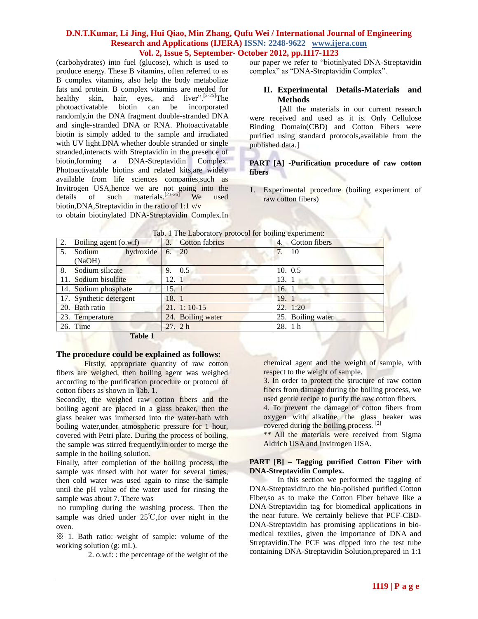(carbohydrates) into fuel (glucose), which is used to produce energy. These B vitamins, often referred to as B complex vitamins, also help the body metabolize fats and protein. B complex vitamins are needed for healthy skin, hair, eyes, and liver".<sup>[2-25]</sup>The photoactivatable biotin can be incorporated randomly,in the DNA fragment double-stranded DNA and single-stranded DNA or RNA. Photoactivatable biotin is simply added to the sample and irradiated with UV light.DNA whether double stranded or single stranded,interacts with Streptavidin in the presence of biotin,forming a DNA-Streptavidin Complex. Photoactivatable biotins and related kits,are widely available from life sciences companies,such as Invitrogen USA,hence we are not going into the details of such materials.<sup>[23-26]</sup> We used biotin,DNA,Streptavidin in the ratio of 1:1 v/v to obtain biotinylated DNA-Streptavidin Complex.In our paper we refer to "biotinlyated DNA-Streptavidin complex" as "DNA-Streptavidin Complex".

## **II. Experimental Details-Materials and Methods**

[All the materials in our current research were received and used as it is. Only Cellulose Binding Domain(CBD) and Cotton Fibers were purified using standard protocols,available from the published data.]

#### **PART [A] -Purification procedure of raw cotton fibers**

1. Experimental procedure (boiling experiment of raw cotton fibers)

| $\frac{1}{2}$ . The $\frac{1}{2}$ $\frac{1}{2}$ $\frac{1}{2}$ $\frac{1}{2}$ $\frac{1}{2}$ $\frac{1}{2}$ $\frac{1}{2}$ $\frac{1}{2}$ $\frac{1}{2}$ $\frac{1}{2}$ $\frac{1}{2}$ $\frac{1}{2}$ $\frac{1}{2}$ $\frac{1}{2}$ $\frac{1}{2}$ $\frac{1}{2}$ $\frac{1}{2}$ $\frac{1}{2}$ $\frac{1}{2}$ $\frac{1}{2}$ $\frac{1$ |                   |                     |  |  |  |
|-----------------------------------------------------------------------------------------------------------------------------------------------------------------------------------------------------------------------------------------------------------------------------------------------------------------------|-------------------|---------------------|--|--|--|
| 2.<br>Boiling agent (o.w.f)                                                                                                                                                                                                                                                                                           | 3. Cotton fabrics | Cotton fibers<br>4. |  |  |  |
| hydroxide<br>Sodium<br>5.                                                                                                                                                                                                                                                                                             | 6. 20             | $-10$               |  |  |  |
| (NaOH)                                                                                                                                                                                                                                                                                                                |                   |                     |  |  |  |
| 8.<br>Sodium silicate                                                                                                                                                                                                                                                                                                 | 9. 0.5            | 10. 0.5             |  |  |  |
| 11. Sodium bisulfite                                                                                                                                                                                                                                                                                                  | 12. 1             | 13. 1               |  |  |  |
| 14. Sodium phosphate                                                                                                                                                                                                                                                                                                  | 15. 1             | 16. 1               |  |  |  |
| 17. Synthetic detergent                                                                                                                                                                                                                                                                                               | 18. 1             | 19.1                |  |  |  |
| 20. Bath ratio                                                                                                                                                                                                                                                                                                        | $21. 1: 10-15$    | 22.1:20             |  |  |  |
| 23. Temperature                                                                                                                                                                                                                                                                                                       | 24. Boiling water | 25. Boiling water   |  |  |  |
| 26. Time                                                                                                                                                                                                                                                                                                              | 27.2h             | 28. 1 h             |  |  |  |
| $\mathbf{r}$ $\mathbf{r}$ $\mathbf{r}$ $\mathbf{r}$ $\mathbf{r}$                                                                                                                                                                                                                                                      |                   |                     |  |  |  |

|  | Tab. 1 The Laboratory protocol for boiling experiment: |  |
|--|--------------------------------------------------------|--|
|  |                                                        |  |

**Table 1**

#### **The procedure could be explained as follows:**

Firstly, appropriate quantity of raw cotton fibers are weighed, then boiling agent was weighed according to the purification procedure or protocol of cotton fibers as shown in Tab. 1.

Secondly, the weighed raw cotton fibers and the boiling agent are placed in a glass beaker, then the glass beaker was immersed into the water-bath with boiling water,under atmospheric pressure for 1 hour, covered with Petri plate. During the process of boiling, the sample was stirred frequently,in order to merge the sample in the boiling solution.

Finally, after completion of the boiling process, the sample was rinsed with hot water for several times, then cold water was used again to rinse the sample until the pH value of the water used for rinsing the sample was about 7. There was

no rumpling during the washing process. Then the sample was dried under 25℃,for over night in the oven.

※ 1. Bath ratio: weight of sample: volume of the working solution (g: mL).

2. o.w.f: : the percentage of the weight of the

chemical agent and the weight of sample, with respect to the weight of sample.

3. In order to protect the structure of raw cotton fibers from damage during the boiling process, we used gentle recipe to purify the raw cotton fibers.

4. To prevent the damage of cotton fibers from oxygen with alkaline, the glass beaker was covered during the boiling process. [2]

\*\* All the materials were received from Sigma Aldrich USA and Invitrogen USA.

#### **PART [B] – Tagging purified Cotton Fiber with DNA-Streptavidin Complex.**

In this section we performed the tagging of DNA-Streptavidin,to the bio-polished purified Cotton Fiber,so as to make the Cotton Fiber behave like a DNA-Streptavidin tag for biomedical applications in the near future. We certainly believe that PCF-CBD-DNA-Streptavidin has promising applications in biomedical textiles, given the importance of DNA and Streptavidin.The PCF was dipped into the test tube containing DNA-Streptavidin Solution,prepared in 1:1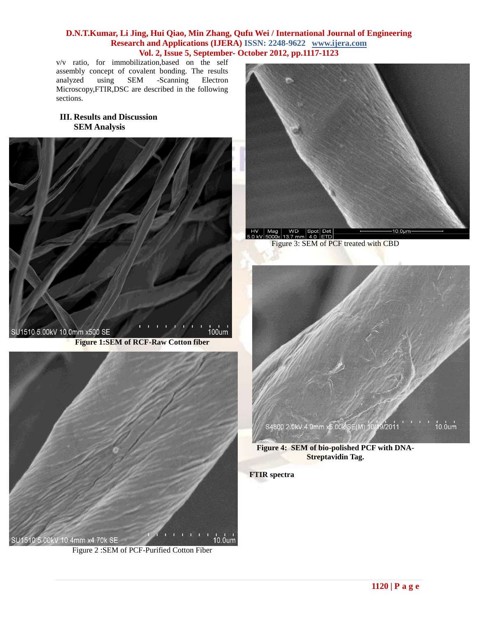v/v ratio, for immobilization,based on the self assembly concept of covalent bonding. The results analyzed using SEM -Scanning Electron Microscopy,FTIR,DSC are described in the following sections.

# **III. Results and Discussion SEM Analysis**





Figure 2 :SEM of PCF-Purified Cotton Fiber



Figure 3: SEM of PCF treated with CBD



**Figure 4: SEM of bio-polished PCF with DNA-Streptavidin Tag.**

**FTIR spectra**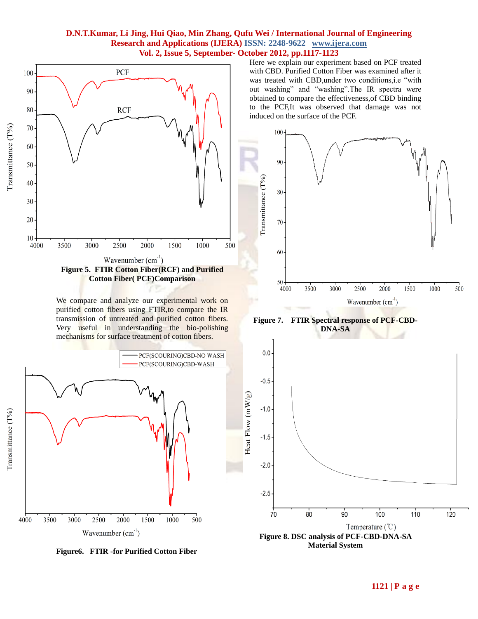

We compare and analyze our experimental work on purified cotton fibers using FTIR,to compare the IR transmission of untreated and purified cotton fibers. Very useful in understanding the bio-polishing mechanisms for surface treatment of cotton fibers.





Here we explain our experiment based on PCF treated with CBD. Purified Cotton Fiber was examined after it was treated with CBD,under two conditions,i.e "with out washing" and "washing".The IR spectra were obtained to compare the effectiveness,of CBD binding to the PCF,It was observed that damage was not induced on the surface of the PCF.



**Figure 7. FTIR Spectral response of PCF-CBD-DNA-SA**



**Material System**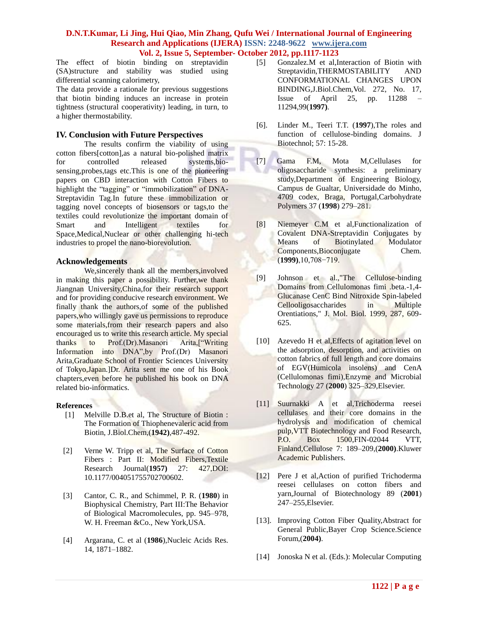The effect of biotin binding on streptavidin (SA)structure and stability was studied using differential scanning calorimetry,

The data provide a rationale for previous suggestions that biotin binding induces an increase in protein tightness (structural cooperativity) leading, in turn, to a higher thermostability.

#### **IV. Conclusion with Future Perspectives**

The results confirm the viability of using cotton fibers[cotton],as a natural bio-polished matrix for controlled released systems,biosensing,probes,tags etc.This is one of the pioneering papers on CBD interaction with Cotton Fibers to highlight the "tagging" or "immobilization" of DNA-Streptavidin Tag.In future these immobilization or tagging novel concepts of biosensors or tags,to the textiles could revolutionize the important domain of Smart and Intelligent textiles for Space,Medical,Nuclear or other challenging hi-tech industries to propel the nano-biorevolution.

#### **Acknowledgements**

We,sincerely thank all the members,involved in making this paper a possibility. Further, we thank Jiangnan University,China,for their research support and for providing conducive research environment. We finally thank the authors,of some of the published papers,who willingly gave us permissions to reproduce some materials, from their research papers and also encouraged us to write this research article. My special thanks to Prof.(Dr).Masanori Arita,["Writing Information into DNA",by Prof.(Dr) Masanori Arita,Graduate School of Frontier Sciences University of Tokyo,Japan.]Dr. Arita sent me one of his Book chapters,even before he published his book on DNA related bio-informatics.

#### **References**

- [1] Melville D.B.et al, The Structure of Biotin : The Formation of Thiophenevaleric acid from Biotin, J.Biol.Chem,(**1942)**,487-492.
- [2] Verne W. Tripp et al, The Surface of Cotton Fibers : Part II: Modified Fibers,Textile Research Journal(**1957)** 27: 427,DOI: 10.1177/004051755702700602.
- [3] Cantor, C. R., and Schimmel, P. R. (**1980**) in Biophysical Chemistry, Part III:The Behavior of Biological Macromolecules, pp. 945–978, W. H. Freeman &Co., New York,USA.
- [4] Argarana, C. et al (**1986**),Nucleic Acids Res. 14, 1871–1882.
- [5] Gonzalez.M et al,Interaction of Biotin with Streptavidin,THERMOSTABILITY AND CONFORMATIONAL CHANGES UPON BINDING,J.Biol.Chem,Vol. 272, No. 17, Issue of April 25, pp. 11288 – 11294,99(**1997)**.
- [6]. Linder M., Teeri T.T. (**1997**),The roles and function of cellulose-binding domains. J Biotechnol; 57: 15-28.
- [7] Gama F.M, Mota M,Cellulases for oligosaccharide synthesis: a preliminary study,Department of Engineering Biology, Campus de Gualtar, Universidade do Minho, 4709 codex, Braga, Portugal,Carbohydrate Polymers 37 (**1998**) 279–281.
- [8] Niemeyer C.M et al,Functionalization of Covalent DNA-Streptavidin Conjugates by Means of Biotinylated Modulator Components,Bioconjugate Chem. (**1999)**,10,708−719.
- [9] Johnson et al.,"The Cellulose-binding Domains from Cellulomonas fimi .beta.-1,4- Glucanase CenC Bind Nitroxide Spin-labeled Cellooligosaccharides in Multiple Orentiations," J. Mol. Biol. 1999, 287, 609- 625.
- [10] Azevedo H et al, Effects of agitation level on the adsorption, desorption, and activities on cotton fabrics of full length and core domains of EGV(Humicola insolens) and CenA (Cellulomonas fimi),Enzyme and Microbial Technology 27 (**2000**) 325–329,Elsevier.
- [11] Suurnakki A et al,Trichoderma reesei cellulases and their core domains in the hydrolysis and modification of chemical pulp,VTT Biotechnology and Food Research, P.O. Box 1500,FIN-02044 VTT, Finland,Cellulose 7: 189–209,(**2000)**.Kluwer Academic Publishers.
- [12] Pere J et al,Action of purified Trichoderma reesei cellulases on cotton fibers and yarn,Journal of Biotechnology 89 (**2001**) 247–255,Elsevier.
- [13]. Improving Cotton Fiber Quality, Abstract for General Public,Bayer Crop Science.Science Forum,(**2004)**.
- [14] Jonoska N et al. (Eds.): Molecular Computing